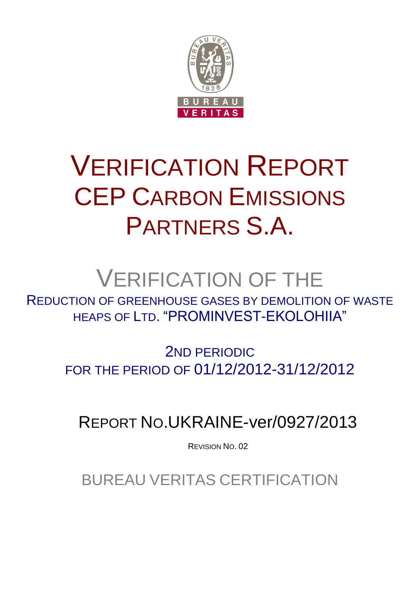

# VERIFICATION REPORT CEP CARBON EMISSIONS PARTNERS S.A.

# VERIFICATION OF THE

REDUCTION OF GREENHOUSE GASES BY DEMOLITION OF WASTE HEAPS OF LTD. "PROMINVEST-EKOLOHIIA"

> 2ND PERIODIC FOR THE PERIOD OF 01/12/2012-31/12/2012

REPORT NO.UKRAINE-ver/0927/2013

REVISION NO. 02

BUREAU VERITAS CERTIFICATION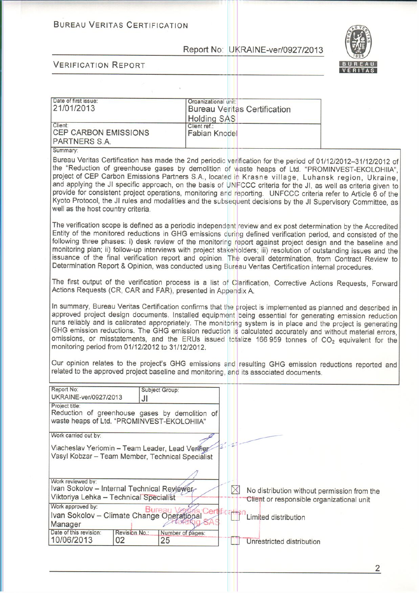# **BUREAU VERITAS CERTIFICATION**

 $\sim$ 

Report No: UKRAINE-ver/0927/2013



| Date of first issue:                                                                                                                                                                                                                                                                                                                                                                                                                                                                                                                                                                                                                                                                                                                                                                                                              | Organizational unit: |          |                                           |                                             |
|-----------------------------------------------------------------------------------------------------------------------------------------------------------------------------------------------------------------------------------------------------------------------------------------------------------------------------------------------------------------------------------------------------------------------------------------------------------------------------------------------------------------------------------------------------------------------------------------------------------------------------------------------------------------------------------------------------------------------------------------------------------------------------------------------------------------------------------|----------------------|----------|-------------------------------------------|---------------------------------------------|
| 21/01/2013                                                                                                                                                                                                                                                                                                                                                                                                                                                                                                                                                                                                                                                                                                                                                                                                                        |                      |          | <b>Bureau Veritas Certification</b>       |                                             |
|                                                                                                                                                                                                                                                                                                                                                                                                                                                                                                                                                                                                                                                                                                                                                                                                                                   | <b>Holding SAS</b>   |          |                                           |                                             |
| Client:                                                                                                                                                                                                                                                                                                                                                                                                                                                                                                                                                                                                                                                                                                                                                                                                                           | Client ref.:         |          |                                           |                                             |
| <b>CEP CARBON EMISSIONS</b>                                                                                                                                                                                                                                                                                                                                                                                                                                                                                                                                                                                                                                                                                                                                                                                                       | <b>Fabian Knodel</b> |          |                                           |                                             |
| PARTNERS S.A.                                                                                                                                                                                                                                                                                                                                                                                                                                                                                                                                                                                                                                                                                                                                                                                                                     |                      |          |                                           |                                             |
| Summary:                                                                                                                                                                                                                                                                                                                                                                                                                                                                                                                                                                                                                                                                                                                                                                                                                          |                      |          |                                           |                                             |
| Bureau Veritas Certification has made the 2nd periodic verification for the period of 01/12/2012-31/12/2012 of<br>the "Reduction of greenhouse gases by demolition of waste heaps of Ltd. "PROMINVEST-EKOLOHIIA",<br>project of CEP Carbon Emissions Partners S.A., located in Krasne village, Luhansk region, Ukraine,<br>and applying the JI specific approach, on the basis of UNFCCC criteria for the JI, as well as criteria given to<br>provide for consistent project operations, monitoring and reporting. UNFCCC criteria refer to Article 6 of the<br>Kyoto Protocol, the JI rules and modalities and the subsequent decisions by the JI Supervisory Committee, as<br>well as the host country criteria.                                                                                                                |                      |          |                                           |                                             |
| The verification scope is defined as a periodic independent review and ex post determination by the Accredited<br>Entity of the monitored reductions in GHG emissions during defined verification period, and consisted of the<br>following three phases: i) desk review of the monitoring report against project design and the baseline and<br>monitoring plan; ii) follow-up interviews with project stakeholders; iii) resolution of outstanding issues and the<br>issuance of the final verification report and opinion. The overall determination, from Contract Review to<br>Determination Report & Opinion, was conducted using Bureau Veritas Certification internal procedures.<br>The first output of the verification process is a list of Clarification, Corrective Actions Requests, Forward                        |                      |          |                                           |                                             |
| Actions Requests (CR, CAR and FAR), presented in Appendix A.                                                                                                                                                                                                                                                                                                                                                                                                                                                                                                                                                                                                                                                                                                                                                                      |                      |          |                                           |                                             |
| In summary, Bureau Veritas Certification confirms that the project is implemented as planned and described in<br>approved project design documents. Installed equipment being essential for generating emission reduction<br>runs reliably and is calibrated appropriately. The monitoring system is in place and the project is generating<br>GHG emission reductions. The GHG emission reduction is calculated accurately and without material errors,<br>omissions, or misstatements, and the ERUs issued totalize 166 959 tonnes of CO <sub>2</sub> equivalent for the<br>monitoring period from 01/12/2012 to 31/12/2012.<br>Our opinion relates to the project's GHG emissions and resulting GHG emission reductions reported and<br>related to the approved project baseline and monitoring, and its associated documents. |                      |          |                                           |                                             |
| Report No:<br>Subject Group:                                                                                                                                                                                                                                                                                                                                                                                                                                                                                                                                                                                                                                                                                                                                                                                                      |                      |          |                                           |                                             |
| UKRAINE-ver/0927/2013<br>JI                                                                                                                                                                                                                                                                                                                                                                                                                                                                                                                                                                                                                                                                                                                                                                                                       |                      |          |                                           |                                             |
| Project title:<br>Reduction of greenhouse gases by demolition of<br>waste heaps of Ltd. "PROMINVEST-EKOLOHIIA"                                                                                                                                                                                                                                                                                                                                                                                                                                                                                                                                                                                                                                                                                                                    |                      |          |                                           |                                             |
| Work carried out by:                                                                                                                                                                                                                                                                                                                                                                                                                                                                                                                                                                                                                                                                                                                                                                                                              |                      |          |                                           |                                             |
|                                                                                                                                                                                                                                                                                                                                                                                                                                                                                                                                                                                                                                                                                                                                                                                                                                   |                      |          |                                           |                                             |
| Viacheslav Yeriomin - Team Leader, Lead Verifier                                                                                                                                                                                                                                                                                                                                                                                                                                                                                                                                                                                                                                                                                                                                                                                  |                      |          |                                           |                                             |
| Vasyl Kobzar - Team Member, Technical Specialist                                                                                                                                                                                                                                                                                                                                                                                                                                                                                                                                                                                                                                                                                                                                                                                  |                      |          |                                           |                                             |
|                                                                                                                                                                                                                                                                                                                                                                                                                                                                                                                                                                                                                                                                                                                                                                                                                                   |                      |          |                                           |                                             |
| Work reviewed by:                                                                                                                                                                                                                                                                                                                                                                                                                                                                                                                                                                                                                                                                                                                                                                                                                 |                      |          |                                           |                                             |
| Ivan Sokolov - Internal Technical Reviewer                                                                                                                                                                                                                                                                                                                                                                                                                                                                                                                                                                                                                                                                                                                                                                                        |                      | $\times$ |                                           | No distribution without permission from the |
| Viktoriya Lehka - Technical Specialist                                                                                                                                                                                                                                                                                                                                                                                                                                                                                                                                                                                                                                                                                                                                                                                            |                      |          | Client or responsible organizational unit |                                             |
| Work approved by:<br><b>Bureau</b>                                                                                                                                                                                                                                                                                                                                                                                                                                                                                                                                                                                                                                                                                                                                                                                                |                      |          |                                           |                                             |
| Ivan Sokolov - Climate Change Operational                                                                                                                                                                                                                                                                                                                                                                                                                                                                                                                                                                                                                                                                                                                                                                                         | ert                  |          | Limited distribution                      |                                             |
| Manager                                                                                                                                                                                                                                                                                                                                                                                                                                                                                                                                                                                                                                                                                                                                                                                                                           |                      |          |                                           |                                             |
| Date of this revision:<br>Revision No.:<br>Number of pages:                                                                                                                                                                                                                                                                                                                                                                                                                                                                                                                                                                                                                                                                                                                                                                       |                      |          |                                           |                                             |
| 10/06/2013<br>02<br>25                                                                                                                                                                                                                                                                                                                                                                                                                                                                                                                                                                                                                                                                                                                                                                                                            |                      |          | Unrestricted distribution                 |                                             |
|                                                                                                                                                                                                                                                                                                                                                                                                                                                                                                                                                                                                                                                                                                                                                                                                                                   |                      |          |                                           |                                             |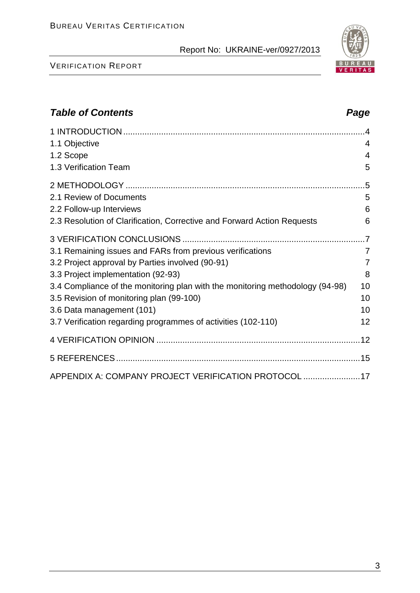#### VERIFICATION REPORT

# *Table of Contents Page*

| 1.1 Objective                                                                 | $\overline{4}$ |
|-------------------------------------------------------------------------------|----------------|
| 1.2 Scope                                                                     | $\overline{4}$ |
| 1.3 Verification Team                                                         | 5              |
|                                                                               |                |
| 2.1 Review of Documents                                                       | 5              |
| 2.2 Follow-up Interviews                                                      | 6              |
| 2.3 Resolution of Clarification, Corrective and Forward Action Requests       | 6              |
|                                                                               |                |
| 3.1 Remaining issues and FARs from previous verifications                     | $\overline{7}$ |
| 3.2 Project approval by Parties involved (90-91)                              | 7              |
| 3.3 Project implementation (92-93)                                            | 8              |
| 3.4 Compliance of the monitoring plan with the monitoring methodology (94-98) | 10             |
| 3.5 Revision of monitoring plan (99-100)                                      | 10             |
| 3.6 Data management (101)                                                     | 10             |
| 3.7 Verification regarding programmes of activities (102-110)                 | 12             |
|                                                                               |                |
|                                                                               |                |
| APPENDIX A: COMPANY PROJECT VERIFICATION PROTOCOL 17                          |                |
|                                                                               |                |

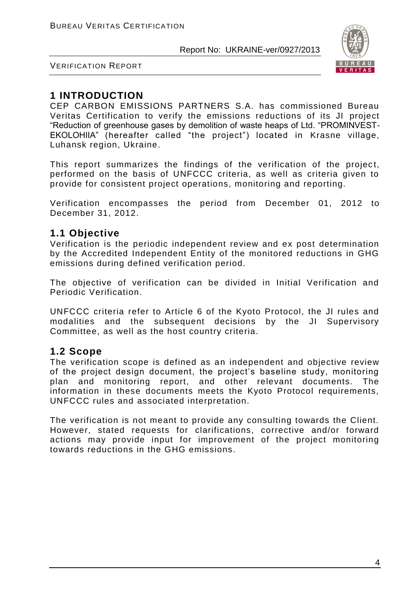

VERIFICATION REPORT

# **1 INTRODUCTION**

CEP CARBON EMISSIONS PARTNERS S.A. has commissioned Bureau Veritas Certification to verify the emissions reductions of its JI project "Reduction of greenhouse gases by demolition of waste heaps of Ltd. "PROMINVEST-EKOLOHIIA" (hereafter called "the project") located in Krasne village, Luhansk region, Ukraine.

This report summarizes the findings of the verification of the project, performed on the basis of UNFCCC criteria, as well as criteria given to provide for consistent project operations, monitoring and reporting.

Verification encompasses the period from December 01, 2012 to December 31, 2012.

# **1.1 Objective**

Verification is the periodic independent review and ex post determination by the Accredited Independent Entity of the monitored reductions in GHG emissions during defined verification period.

The objective of verification can be divided in Initial Verification and Periodic Verification.

UNFCCC criteria refer to Article 6 of the Kyoto Protocol, the JI rules and modalities and the subsequent decisions by the JI Supervisory Committee, as well as the host country criteria.

# **1.2 Scope**

The verification scope is defined as an independent and objective review of the project design document, the project's baseline study, monitoring plan and monitoring report, and other relevant documents. The information in these documents meets the Kyoto Protocol requirements, UNFCCC rules and associated interpretation.

The verification is not meant to provide any consulting towards the Client. However, stated requests for clarifications, corrective and/or forward actions may provide input for improvement of the project monitoring towards reductions in the GHG emissions.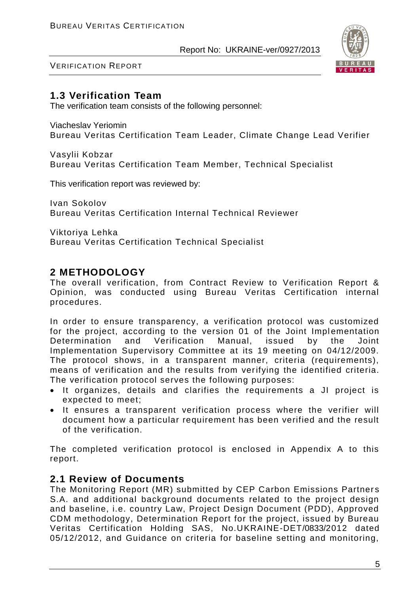

VERIFICATION REPORT

# **1.3 Verification Team**

The verification team consists of the following personnel:

Viacheslav Yeriomin Bureau Veritas Certification Team Leader, Climate Change Lead Verifier

Vasylii Kobzar Bureau Veritas Certification Team Member, Technical Specialist

This verification report was reviewed by:

Ivan Sokolov Bureau Veritas Certification Internal Technical Reviewer

Viktoriya Lehka Bureau Veritas Certification Technical Specialist

# **2 METHODOLOGY**

The overall verification, from Contract Review to Verification Report & Opinion, was conducted using Bureau Veritas Certification internal procedures.

In order to ensure transparency, a verification protocol was customized for the project, according to the version 01 of the Joint Implementation Determination and Verification Manual, issued by the Joint Implementation Supervisory Committee at its 19 meeting on 04/12/2009. The protocol shows, in a transparent manner, criteria (requirements), means of verification and the results from verifying the identified criteria. The verification protocol serves the following purposes:

- It organizes, details and clarifies the requirements a JI project is expected to meet;
- It ensures a transparent verification process where the verifier will document how a particular requirement has been verified and the result of the verification.

The completed verification protocol is enclosed in Appendix A to this report.

# **2.1 Review of Documents**

The Monitoring Report (MR) submitted by CEP Carbon Emissions Partner s S.A. and additional background documents related to the project design and baseline, i.e. country Law, Project Design Document (PDD), Approved CDM methodology, Determination Report for the project, issued by Bureau Veritas Certification Holding SAS, No.UKRAINE-DET/0833/2012 dated 05/12/2012, and Guidance on criteria for baseline setting and monitoring,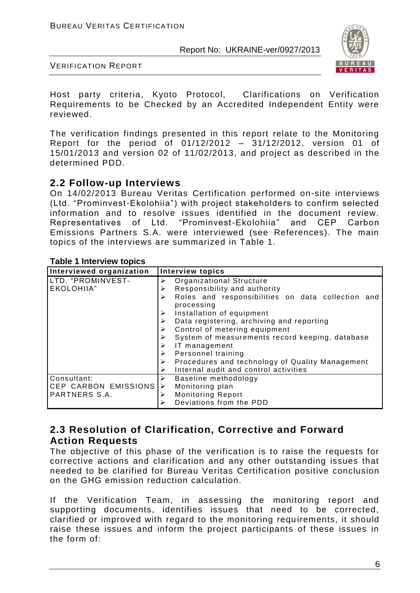

VERIFICATION REPORT

Host party criteria, Kyoto Protocol, Clarifications on Verification Requirements to be Checked by an Accredited Independent Entity were reviewed.

The verification findings presented in this report relate to the Monitoring Report for the period of 01/12/2012 – 31/12/2012, version 01 of 15/01/2013 and version 02 of 11/02/2013, and project as described in the determined PDD.

### **2.2 Follow-up Interviews**

On 14/02/2013 Bureau Veritas Certification performed on-site interviews (Ltd. "Prominvest-Ekolohiia") with project stakeholders to confirm selected information and to resolve issues identified in the document review. Representatives of Ltd. "Prominvest-Ekolohiia" Emissions Partners S.A. were interviewed (see References). The main topics of the interviews are summarized in Table 1.

#### **Table 1 Interview topics**

| Interviewed organization | <b>Interview topics</b>                                              |  |  |  |
|--------------------------|----------------------------------------------------------------------|--|--|--|
| LTD. "PROMINVEST-        | Organizational Structure<br>➤                                        |  |  |  |
| EKOLOHIIA"               | Responsibility and authority<br>≻                                    |  |  |  |
|                          | Roles and responsibilities on data collection and<br>➤<br>processing |  |  |  |
|                          | Installation of equipment                                            |  |  |  |
|                          | Data registering, archiving and reporting                            |  |  |  |
|                          | Control of metering equipment<br>➤                                   |  |  |  |
|                          | System of measurements record keeping, database                      |  |  |  |
|                          | IT management<br>➤                                                   |  |  |  |
|                          | Personnel training<br>➤                                              |  |  |  |
|                          | Procedures and technology of Quality Management<br>➤                 |  |  |  |
|                          | Internal audit and control activities<br>➤                           |  |  |  |
| Consultant:              | Baseline methodology<br>≻                                            |  |  |  |
| CEP CARBON EMISSIONS     | Monitoring plan<br>➤                                                 |  |  |  |
| PARTNERS S.A.            | <b>Monitoring Report</b><br>⋗                                        |  |  |  |
|                          | Deviations from the PDD<br>⋗                                         |  |  |  |

# **2.3 Resolution of Clarification, Corrective and Forward Action Requests**

The objective of this phase of the verification is to raise the requests for corrective actions and clarification and any other outstanding issues that needed to be clarified for Bureau Veritas Certification positive conclusion on the GHG emission reduction calculation.

If the Verification Team, in assessing the monitoring report and supporting documents, identifies issues that need to be corrected, clarified or improved with regard to the monitoring requirements, it should raise these issues and inform the project participants of these issues in the form of: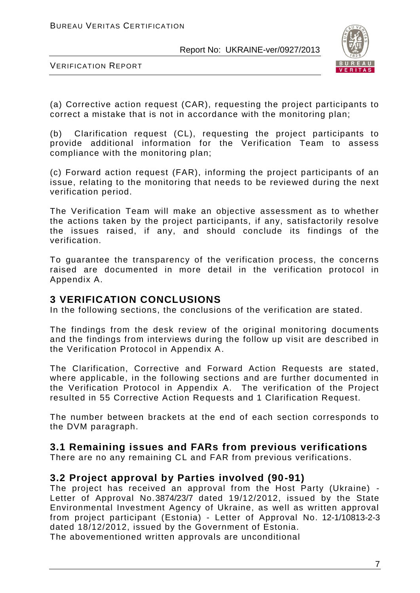

VERIFICATION REPORT

(a) Corrective action request (CAR), requesting the project participants to correct a mistake that is not in accordance with the monitoring plan;

(b) Clarification request (CL), requesting the project participants to provide additional information for the Verification Team to assess compliance with the monitoring plan;

(c) Forward action request (FAR), informing the project participants of an issue, relating to the monitoring that needs to be reviewed during the next verification period.

The Verification Team will make an objective assessment as to whether the actions taken by the project participants, if any, satisfactorily resolve the issues raised, if any, and should conclude its findings of the verification.

To guarantee the transparency of the verification process, the concerns raised are documented in more detail in the verification protocol in Appendix A.

# **3 VERIFICATION CONCLUSIONS**

In the following sections, the conclusions of the verification are stated.

The findings from the desk review of the original monitoring documents and the findings from interviews during the follow up visit are described in the Verification Protocol in Appendix A.

The Clarification, Corrective and Forward Action Requests are stated, where applicable, in the following sections and are further documented in the Verification Protocol in Appendix A. The verification of the Project resulted in 55 Corrective Action Requests and 1 Clarification Request.

The number between brackets at the end of each section corresponds to the DVM paragraph.

# **3.1 Remaining issues and FARs from previous verifications**

There are no any remaining CL and FAR from previous verifications.

# **3.2 Project approval by Parties involved (90-91)**

The project has received an approval from the Host Party (Ukraine) - Letter of Approval No.3874/23/7 dated 19/12/2012, issued by the State Environmental Investment Agency of Ukraine, as well as written approval from project participant (Estonia) - Letter of Approval No. 12-1/10813-2-3 dated 18/12/2012, issued by the Government of Estonia.

The abovementioned written approvals are unconditional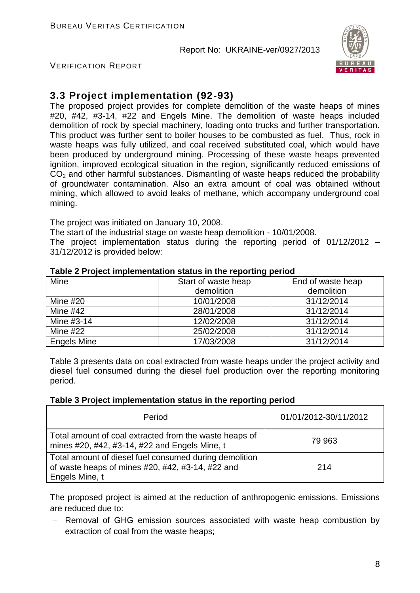

VERIFICATION REPORT

# **3.3 Project implementation (92-93)**

The proposed project provides for complete demolition of the waste heaps of mines #20, #42, #3-14, #22 and Engels Mine. The demolition of waste heaps included demolition of rock by special machinery, loading onto trucks and further transportation. This product was further sent to boiler houses to be combusted as fuel. Thus, rock in waste heaps was fully utilized, and coal received substituted coal, which would have been produced by underground mining. Processing of these waste heaps prevented ignition, improved ecological situation in the region, significantly reduced emissions of  $CO<sub>2</sub>$  and other harmful substances. Dismantling of waste heaps reduced the probability of groundwater contamination. Also an extra amount of coal was obtained without mining, which allowed to avoid leaks of methane, which accompany underground coal mining.

The project was initiated on January 10, 2008.

The start of the industrial stage on waste heap demolition - 10/01/2008.

The project implementation status during the reporting period of 01/12/2012 – 31/12/2012 is provided below:

| Mine        | Start of waste heap | End of waste heap |  |
|-------------|---------------------|-------------------|--|
|             | demolition          | demolition        |  |
| Mine $#20$  | 10/01/2008          | 31/12/2014        |  |
| Mine $#42$  | 28/01/2008          | 31/12/2014        |  |
| Mine #3-14  | 12/02/2008          | 31/12/2014        |  |
| Mine $#22$  | 25/02/2008          | 31/12/2014        |  |
| Engels Mine | 17/03/2008          | 31/12/2014        |  |

#### **Table 2 Project implementation status in the reporting period**

Table 3 presents data on coal extracted from waste heaps under the project activity and diesel fuel consumed during the diesel fuel production over the reporting monitoring period.

#### **Table 3 Project implementation status in the reporting period**

| Period                                                                                                                       | 01/01/2012-30/11/2012 |
|------------------------------------------------------------------------------------------------------------------------------|-----------------------|
| Total amount of coal extracted from the waste heaps of<br>mines #20, #42, #3-14, #22 and Engels Mine, t                      | 79 963                |
| Total amount of diesel fuel consumed during demolition<br>of waste heaps of mines #20, #42, #3-14, #22 and<br>Engels Mine, t | 214                   |

The proposed project is aimed at the reduction of anthropogenic emissions. Emissions are reduced due to:

 Removal of GHG emission sources associated with waste heap combustion by extraction of coal from the waste heaps;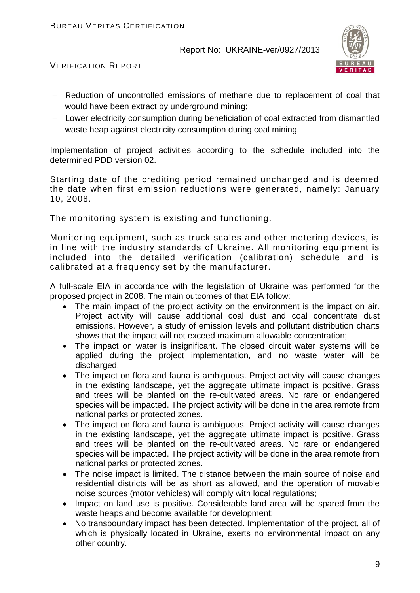

VERIFICATION REPORT

- Reduction of uncontrolled emissions of methane due to replacement of coal that would have been extract by underground mining;
- Lower electricity consumption during beneficiation of coal extracted from dismantled waste heap against electricity consumption during coal mining.

Implementation of project activities according to the schedule included into the determined PDD version 02.

Starting date of the crediting period remained unchanged and is deemed the date when first emission reductions were generated, namely: January 10, 2008.

The monitoring system is existing and functioning.

Monitoring equipment, such as truck scales and other metering devices, is in line with the industry standards of Ukraine. All monitoring equipment is included into the detailed verification (calibration) schedule and is calibrated at a frequency set by the manufacturer.

A full-scale EIA in accordance with the legislation of Ukraine was performed for the proposed project in 2008. The main outcomes of that EIA follow:

- The main impact of the project activity on the environment is the impact on air. Project activity will cause additional coal dust and coal concentrate dust emissions. However, a study of emission levels and pollutant distribution charts shows that the impact will not exceed maximum allowable concentration;
- The impact on water is insignificant. The closed circuit water systems will be applied during the project implementation, and no waste water will be discharged.
- The impact on flora and fauna is ambiguous. Project activity will cause changes in the existing landscape, yet the aggregate ultimate impact is positive. Grass and trees will be planted on the re-cultivated areas. No rare or endangered species will be impacted. The project activity will be done in the area remote from national parks or protected zones.
- The impact on flora and fauna is ambiguous. Project activity will cause changes in the existing landscape, yet the aggregate ultimate impact is positive. Grass and trees will be planted on the re-cultivated areas. No rare or endangered species will be impacted. The project activity will be done in the area remote from national parks or protected zones.
- The noise impact is limited. The distance between the main source of noise and residential districts will be as short as allowed, and the operation of movable noise sources (motor vehicles) will comply with local regulations;
- Impact on land use is positive. Considerable land area will be spared from the waste heaps and become available for development;
- No transboundary impact has been detected. Implementation of the project, all of which is physically located in Ukraine, exerts no environmental impact on any other country.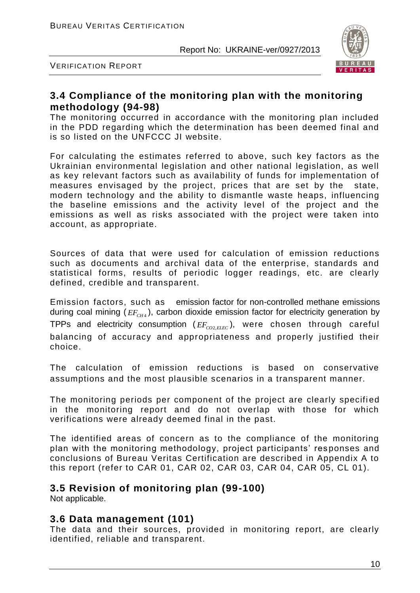

VERIFICATION REPORT

# **3.4 Compliance of the monitoring plan with the monitoring methodology (94-98)**

The monitoring occurred in accordance with the monitoring plan included in the PDD regarding which the determination has been deemed final and is so listed on the UNFCCC JI website.

For calculating the estimates referred to above, such key factors as the Ukrainian environmental legislation and other national legislation, as well as key relevant factors such as availability of funds for implementation of measures envisaged by the project, prices that are set by the state, modern technology and the ability to dismantle waste heaps, influencing the baseline emissions and the activity level of the project and the emissions as well as risks associated with the project were taken into account, as appropriate.

Sources of data that were used for calculation of emission reductions such as documents and archival data of the enterprise, standards and statistical forms, results of periodic logger readings, etc. are clearly defined, credible and transparent.

Emission factors, such as emission factor for non-controlled methane emissions during coal mining ( $EF_{CH4}$ ), carbon dioxide emission factor for electricity generation by <code>TPPs</code> and electricity consumption  $(\mathit{EF}_\mathit{co2,ELEC}})$ , were chosen through careful balancing of accuracy and appropriateness and properly justified their choice.

The calculation of emission reductions is based on conservative assumptions and the most plausible scenarios in a transparent manner.

The monitoring periods per component of the project are clearly specified in the monitoring report and do not overlap with those for which verifications were already deemed final in the past.

The identified areas of concern as to the compliance of the monitoring plan with the monitoring methodology, project participants' responses and conclusions of Bureau Veritas Certification are described in Appendix A to this report (refer to CAR 01, CAR 02, CAR 03, CAR 04, CAR 05, CL 01).

# **3.5 Revision of monitoring plan (99-100)**

Not applicable.

# **3.6 Data management (101)**

The data and their sources, provided in monitoring report, are clearly identified, reliable and transparent.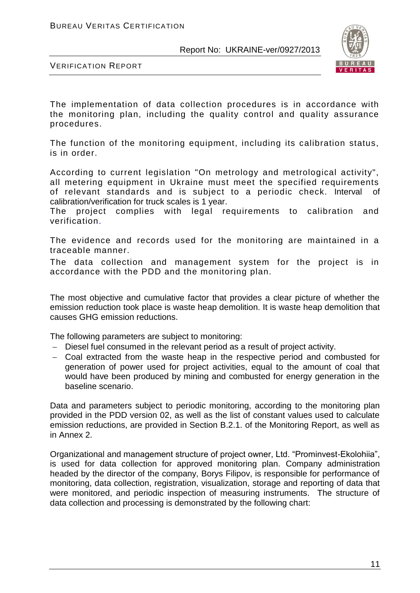

VERIFICATION REPORT

The implementation of data collection procedures is in accordance with the monitoring plan, including the quality control and quality assurance procedures.

The function of the monitoring equipment, including its calibration status, is in order.

According to current legislation "On metrology and metrological activity", all metering equipment in Ukraine must meet the specified requirements of relevant standards and is subject to a periodic check. Interval of calibration/verification for truck scales is 1 year.

The project complies with legal requirements to calibration and verification.

The evidence and records used for the monitoring are maintained in a traceable manner.

The data collection and management system for the project is in accordance with the PDD and the monitoring plan.

The most objective and cumulative factor that provides a clear picture of whether the emission reduction took place is waste heap demolition. It is waste heap demolition that causes GHG emission reductions.

The following parameters are subject to monitoring:

- Diesel fuel consumed in the relevant period as a result of project activity.
- Coal extracted from the waste heap in the respective period and combusted for generation of power used for project activities, equal to the amount of coal that would have been produced by mining and combusted for energy generation in the baseline scenario.

Data and parameters subject to periodic monitoring, according to the monitoring plan provided in the PDD version 02, as well as the list of constant values used to calculate emission reductions, are provided in Section B.2.1. of the Monitoring Report, as well as in Annex 2.

Organizational and management structure of project owner, Ltd. "Prominvest-Ekolohiia", is used for data collection for approved monitoring plan. Company administration headed by the director of the company, Borys Filipov, is responsible for performance of monitoring, data collection, registration, visualization, storage and reporting of data that were monitored, and periodic inspection of measuring instruments. The structure of data collection and processing is demonstrated by the following chart: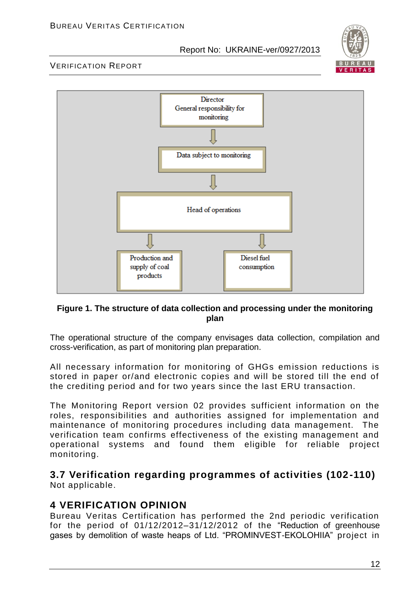

VERIFICATION REPORT



#### **Figure 1. The structure of data collection and processing under the monitoring plan**

The operational structure of the company envisages data collection, compilation and cross-verification, as part of monitoring plan preparation.

All necessary information for monitoring of GHGs emission reductions is stored in paper or/and electronic copies and will be stored till the end of the crediting period and for two years since the last ERU transaction.

The Monitoring Report version 02 provides sufficient information on the roles, responsibilities and authorities assigned for implementation and maintenance of monitoring procedures including data management. The verification team confirms effectiveness of the existing management and operational systems and found them eligible for reliable project monitoring.

**3.7 Verification regarding programmes of activities (102-110)** Not applicable.

# **4 VERIFICATION OPINION**

Bureau Veritas Certification has performed the 2nd periodic verification for the period of 01/12/2012–31/12/2012 of the "Reduction of greenhouse gases by demolition of waste heaps of Ltd. "PROMINVEST-EKOLOHIIA" project in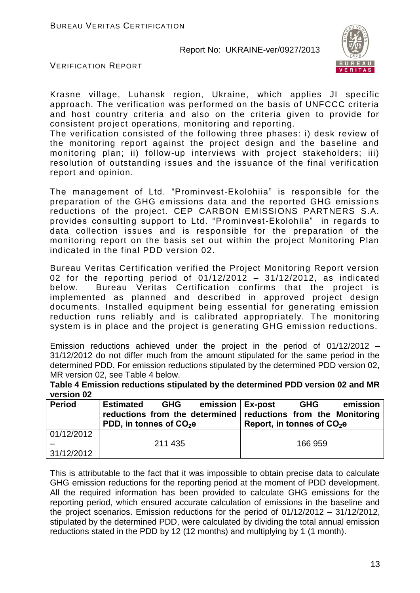

VERIFICATION REPORT

Krasne village, Luhansk region, Ukraine, which applies JI specific approach. The verification was performed on the basis of UNFCCC criteria and host country criteria and also on the criteria given to provide for consistent project operations, monitoring and reporting.

The verification consisted of the following three phases: i) desk review of the monitoring report against the project design and the baseline and monitoring plan; ii) follow-up interviews with project stakeholders; iii) resolution of outstanding issues and the issuance of the final verification report and opinion.

The management of Ltd. "Prominvest-Ekolohiia" is responsible for the preparation of the GHG emissions data and the reported GHG emissions reductions of the project. CEP CARBON EMISSIONS PARTNERS S.A. provides consulting support to Ltd. "Prominvest-Ekolohiia" in regards to data collection issues and is responsible for the preparation of the monitoring report on the basis set out within the project Monitoring Plan indicated in the final PDD version 02.

Bureau Veritas Certification verified the Project Monitoring Report version 02 for the reporting period of  $01/12/2012 - 31/12/2012$ , as indicated below. Bureau Veritas Certification confirms that the project is implemented as planned and described in approved project design documents. Installed equipment being essential for generating emission reduction runs reliably and is calibrated appropriately. The monitoring system is in place and the project is generating GHG emission reductions.

Emission reductions achieved under the project in the period of 01/12/2012 – 31/12/2012 do not differ much from the amount stipulated for the same period in the determined PDD. For emission reductions stipulated by the determined PDD version 02, MR version 02, see Table 4 below.

**Table 4 Emission reductions stipulated by the determined PDD version 02 and MR version 02**

| <b>Period</b>            | <b>Estimated</b><br>reductions from the determined reductions from the Monitoring<br>PDD, in tonnes of CO <sub>2</sub> e | <b>GHG</b> | emission $\vert$ Ex-post | Report, in tonnes of $CO2e$ | <b>GHG</b> | emission |
|--------------------------|--------------------------------------------------------------------------------------------------------------------------|------------|--------------------------|-----------------------------|------------|----------|
| 01/12/2012<br>31/12/2012 |                                                                                                                          | 211 435    |                          |                             | 166 959    |          |

This is attributable to the fact that it was impossible to obtain precise data to calculate GHG emission reductions for the reporting period at the moment of PDD development. All the required information has been provided to calculate GHG emissions for the reporting period, which ensured accurate calculation of emissions in the baseline and the project scenarios. Emission reductions for the period of 01/12/2012 – 31/12/2012, stipulated by the determined PDD, were calculated by dividing the total annual emission reductions stated in the PDD by 12 (12 months) and multiplying by 1 (1 month).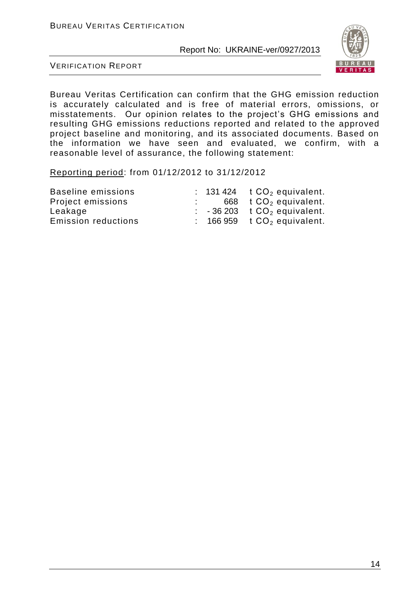

VERIFICATION REPORT

Bureau Veritas Certification can confirm that the GHG emission reduction is accurately calculated and is free of material errors, omissions, or misstatements. Our opinion relates to the project's GHG emissions and resulting GHG emissions reductions reported and related to the approved project baseline and monitoring, and its associated documents. Based on the information we have seen and evaluated, we confirm, with a reasonable level of assurance, the following statement:

Reporting period: from 01/12/2012 to 31/12/2012

| Baseline emissions         |  | $\therefore$ 131 424 t $CO2$ equivalent.           |
|----------------------------|--|----------------------------------------------------|
| Project emissions          |  | 668 $tCO2$ equivalent.                             |
| Leakage                    |  | $\therefore$ -36 203 t CO <sub>2</sub> equivalent. |
| <b>Emission reductions</b> |  | $\therefore$ 166 959 t CO <sub>2</sub> equivalent. |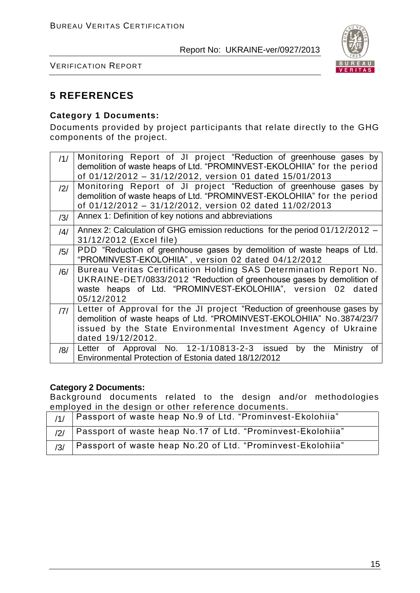

VERIFICATION REPORT

# **5 REFERENCES**

#### **Category 1 Documents:**

Documents provided by project participants that relate directly to the GHG components of the project.

| /1/            | Monitoring Report of JI project "Reduction of greenhouse gases by           |
|----------------|-----------------------------------------------------------------------------|
|                | demolition of waste heaps of Ltd. "PROMINVEST-EKOLOHIIA" for the period     |
|                | of 01/12/2012 - 31/12/2012, version 01 dated 15/01/2013                     |
| $\frac{12}{1}$ | Monitoring Report of JI project "Reduction of greenhouse gases by           |
|                | demolition of waste heaps of Ltd. "PROMINVEST-EKOLOHIIA" for the period     |
|                | of 01/12/2012 - 31/12/2012, version 02 dated 11/02/2013                     |
| /3/            | Annex 1: Definition of key notions and abbreviations                        |
| $\frac{14}{1}$ | Annex 2: Calculation of GHG emission reductions for the period 01/12/2012 - |
|                | 31/12/2012 (Excel file)                                                     |
| /5/            | PDD "Reduction of greenhouse gases by demolition of waste heaps of Ltd.     |
|                | "PROMINVEST-EKOLOHIIA", version 02 dated 04/12/2012                         |
| /6/            | Bureau Veritas Certification Holding SAS Determination Report No.           |
|                | UKRAINE-DET/0833/2012 "Reduction of greenhouse gases by demolition of       |
|                | waste heaps of Ltd. "PROMINVEST-EKOLOHIIA", version 02 dated                |
|                | 05/12/2012                                                                  |
| 7              | Letter of Approval for the JI project "Reduction of greenhouse gases by     |
|                | demolition of waste heaps of Ltd. "PROMINVEST-EKOLOHIIA" No.3874/23/7       |
|                | issued by the State Environmental Investment Agency of Ukraine              |
|                | dated 19/12/2012.                                                           |
| /8/            | Letter of Approval No. 12-1/10813-2-3 issued<br>by the<br>Ministry of       |
|                | Environmental Protection of Estonia dated 18/12/2012                        |

#### **Category 2 Documents:**

Background documents related to the design and/or methodologies employed in the design or other reference documents.

| $1/1/$   Passport of waste heap No.9 of Ltd. "Prominvest-Ekolohiia" |
|---------------------------------------------------------------------|
| Passport of waste heap No.17 of Ltd. "Prominvest-Ekolohiia"         |
| Passport of waste heap No.20 of Ltd. "Prominvest-Ekolohiia"         |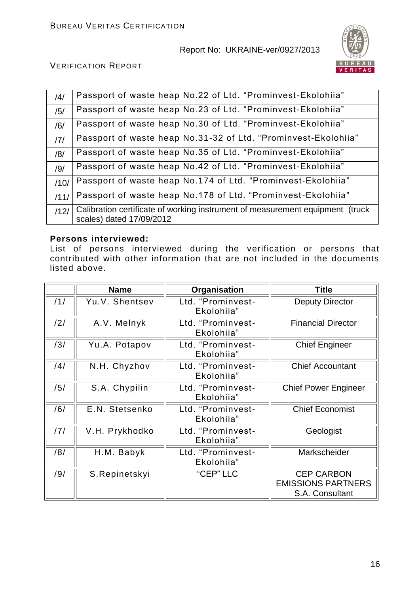

VERIFICATION REPORT

| /4/  | Passport of waste heap No.22 of Ltd. "Prominvest-Ekolohiia"                   |
|------|-------------------------------------------------------------------------------|
| /5/  | Passport of waste heap No.23 of Ltd. "Prominvest-Ekolohiia"                   |
| /6/  | Passport of waste heap No.30 of Ltd. "Prominvest-Ekolohiia"                   |
| 7    | Passport of waste heap No.31-32 of Ltd. "Prominvest-Ekolohiia"                |
| /8/  | Passport of waste heap No.35 of Ltd. "Prominvest-Ekolohiia"                   |
| /9/  | Passport of waste heap No.42 of Ltd. "Prominvest-Ekolohiia"                   |
| /10/ | Passport of waste heap No.174 of Ltd. "Prominvest-Ekolohiia"                  |
| /11/ | Passport of waste heap No.178 of Ltd. "Prominvest-Ekolohiia"                  |
| 1121 | Calibration certificate of working instrument of measurement equipment (truck |
|      |                                                                               |
|      | scales) dated 17/09/2012                                                      |

#### **Persons interviewed:**

List of persons interviewed during the verification or persons that contributed with other information that are not included in the documents listed above.

|     | <b>Name</b>    | Organisation                    | <b>Title</b>                                                      |
|-----|----------------|---------------------------------|-------------------------------------------------------------------|
| /1/ | Yu.V. Shentsev | Ltd. "Prominvest-<br>Ekolohiia" | <b>Deputy Director</b>                                            |
| /2/ | A.V. Melnyk    | Ltd. "Prominvest-<br>Ekolohiia" | <b>Financial Director</b>                                         |
| /3/ | Yu.A. Potapov  | Ltd. "Prominvest-<br>Ekolohiia" | <b>Chief Engineer</b>                                             |
| /4/ | N.H. Chyzhov   | Ltd. "Prominvest-<br>Ekolohiia" | <b>Chief Accountant</b>                                           |
| /5/ | S.A. Chypilin  | Ltd. "Prominvest-<br>Ekolohiia" | <b>Chief Power Engineer</b>                                       |
| /6/ | E.N. Stetsenko | Ltd. "Prominvest-<br>Ekolohiia" | <b>Chief Economist</b>                                            |
| /7/ | V.H. Prykhodko | Ltd. "Prominvest-<br>Ekolohiia" | Geologist                                                         |
| /8/ | H.M. Babyk     | Ltd. "Prominvest-<br>Ekolohiia" | Markscheider                                                      |
| /9/ | S.Repinetskyi  | "CEP" LLC                       | <b>CEP CARBON</b><br><b>EMISSIONS PARTNERS</b><br>S.A. Consultant |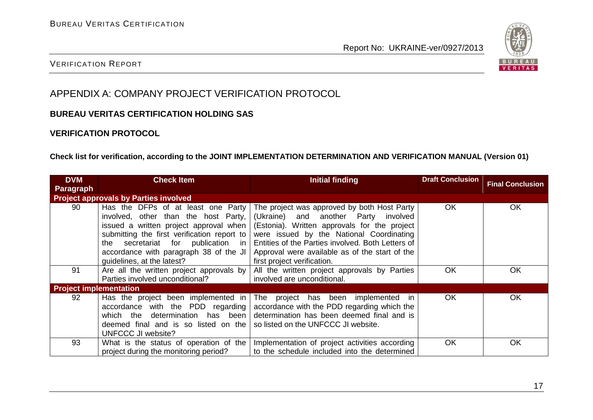

# VERIFICATION REPORT

# APPENDIX A: COMPANY PROJECT VERIFICATION PROTOCOL

### **BUREAU VERITAS CERTIFICATION HOLDING SAS**

### **VERIFICATION PROTOCOL**

#### **Check list for verification, according to the JOINT IMPLEMENTATION DETERMINATION AND VERIFICATION MANUAL (Version 01)**

| <b>DVM</b>                    | <b>Check Item</b>                                                                                                                                                                                                                                                                   | Initial finding                                                                                                                                                                                                                                                                                                       | <b>Draft Conclusion</b> |                         |
|-------------------------------|-------------------------------------------------------------------------------------------------------------------------------------------------------------------------------------------------------------------------------------------------------------------------------------|-----------------------------------------------------------------------------------------------------------------------------------------------------------------------------------------------------------------------------------------------------------------------------------------------------------------------|-------------------------|-------------------------|
| <b>Paragraph</b>              |                                                                                                                                                                                                                                                                                     |                                                                                                                                                                                                                                                                                                                       |                         | <b>Final Conclusion</b> |
|                               | <b>Project approvals by Parties involved</b>                                                                                                                                                                                                                                        |                                                                                                                                                                                                                                                                                                                       |                         |                         |
| 90                            | Has the DFPs of at least one Party<br>involved, other than the host Party,<br>issued a written project approval when  <br>submitting the first verification report to<br>the secretariat for publication in<br>accordance with paragraph 38 of the JI<br>guidelines, at the latest? | The project was approved by both Host Party<br>(Ukraine) and another Party involved<br>(Estonia). Written approvals for the project<br>were issued by the National Coordinating<br>Entities of the Parties involved. Both Letters of<br>Approval were available as of the start of the<br>first project verification. | <b>OK</b>               | <b>OK</b>               |
| 91                            | Are all the written project approvals by<br>Parties involved unconditional?                                                                                                                                                                                                         | All the written project approvals by Parties<br>involved are unconditional.                                                                                                                                                                                                                                           | OK                      | <b>OK</b>               |
| <b>Project implementation</b> |                                                                                                                                                                                                                                                                                     |                                                                                                                                                                                                                                                                                                                       |                         |                         |
| 92                            | Has the project been implemented in<br>accordance with the PDD regarding<br>which the determination has been<br>deemed final and is so listed on the<br>UNFCCC JI website?                                                                                                          | The project has been<br>implemented<br>-in<br>accordance with the PDD regarding which the<br>determination has been deemed final and is<br>so listed on the UNFCCC JI website.                                                                                                                                        | OK                      | OK                      |
| 93                            | What is the status of operation of the<br>project during the monitoring period?                                                                                                                                                                                                     | Implementation of project activities according<br>to the schedule included into the determined                                                                                                                                                                                                                        | OK                      | <b>OK</b>               |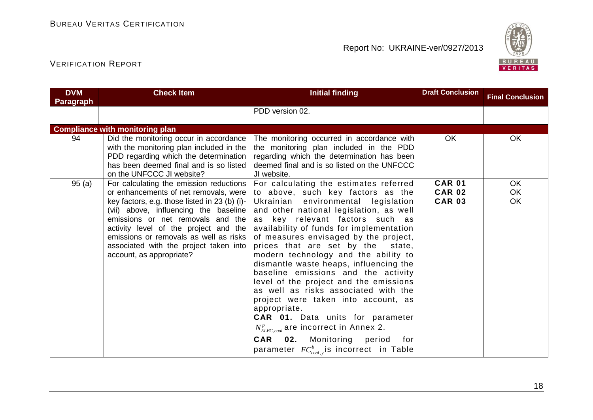

| <b>DVM</b>       | <b>Check Item</b>                                                                                                                                                                                                                                                                                                                                                          | <b>Initial finding</b>                                                                                                                                                                                                                                                                                                                                                                                                                                                                                                                                                                                                                                                                                                                                                                                  | <b>Draft Conclusion</b>                         | <b>Final Conclusion</b>      |
|------------------|----------------------------------------------------------------------------------------------------------------------------------------------------------------------------------------------------------------------------------------------------------------------------------------------------------------------------------------------------------------------------|---------------------------------------------------------------------------------------------------------------------------------------------------------------------------------------------------------------------------------------------------------------------------------------------------------------------------------------------------------------------------------------------------------------------------------------------------------------------------------------------------------------------------------------------------------------------------------------------------------------------------------------------------------------------------------------------------------------------------------------------------------------------------------------------------------|-------------------------------------------------|------------------------------|
| <b>Paragraph</b> |                                                                                                                                                                                                                                                                                                                                                                            | PDD version 02.                                                                                                                                                                                                                                                                                                                                                                                                                                                                                                                                                                                                                                                                                                                                                                                         |                                                 |                              |
|                  | <b>Compliance with monitoring plan</b>                                                                                                                                                                                                                                                                                                                                     |                                                                                                                                                                                                                                                                                                                                                                                                                                                                                                                                                                                                                                                                                                                                                                                                         |                                                 |                              |
| 94               | Did the monitoring occur in accordance<br>with the monitoring plan included in the<br>PDD regarding which the determination<br>has been deemed final and is so listed<br>on the UNFCCC JI website?                                                                                                                                                                         | The monitoring occurred in accordance with<br>the monitoring plan included in the PDD<br>regarding which the determination has been<br>deemed final and is so listed on the UNFCCC<br>JI website.                                                                                                                                                                                                                                                                                                                                                                                                                                                                                                                                                                                                       | <b>OK</b><br><b>OK</b>                          |                              |
| 95(a)            | For calculating the emission reductions  <br>or enhancements of net removals, were<br>key factors, e.g. those listed in 23 (b) (i)-<br>(vii) above, influencing the baseline<br>emissions or net removals and the<br>activity level of the project and the<br>emissions or removals as well as risks<br>associated with the project taken into<br>account, as appropriate? | For calculating the estimates referred<br>to above, such key factors as the<br>Ukrainian environmental legislation<br>and other national legislation, as well<br>as key relevant factors such as<br>availability of funds for implementation<br>of measures envisaged by the project,<br>prices that are set by the<br>state,<br>modern technology and the ability to<br>dismantle waste heaps, influencing the<br>baseline emissions and the activity<br>level of the project and the emissions<br>as well as risks associated with the<br>project were taken into account, as<br>appropriate.<br><b>CAR 01.</b> Data units for parameter<br>$N_{ELEC, coal}^{p}$ are incorrect in Annex 2.<br><b>CAR</b><br>02. Monitoring<br>period<br>for<br>parameter $FC_{\text{coal,v}}^b$ is incorrect in Table | <b>CAR 01</b><br><b>CAR 02</b><br><b>CAR 03</b> | <b>OK</b><br><b>OK</b><br>OK |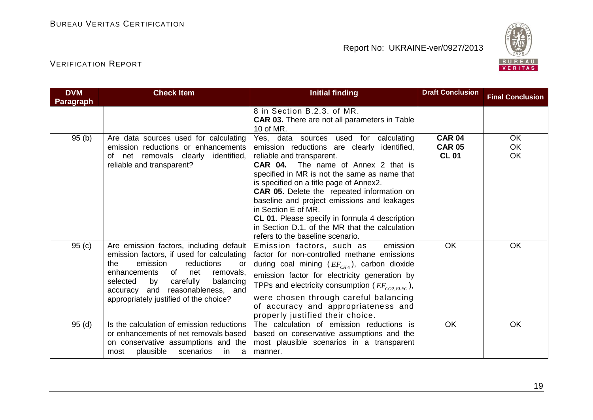

| <b>DVM</b>        | <b>Check Item</b>                                                                                                                                                                                                                                                                                             | <b>Initial finding</b>                                                                                                                                                                                                                                                                                                                                                                                                                                                                                                        | <b>Draft Conclusion</b>                        | <b>Final Conclusion</b> |
|-------------------|---------------------------------------------------------------------------------------------------------------------------------------------------------------------------------------------------------------------------------------------------------------------------------------------------------------|-------------------------------------------------------------------------------------------------------------------------------------------------------------------------------------------------------------------------------------------------------------------------------------------------------------------------------------------------------------------------------------------------------------------------------------------------------------------------------------------------------------------------------|------------------------------------------------|-------------------------|
| <b>Paragraph</b>  |                                                                                                                                                                                                                                                                                                               |                                                                                                                                                                                                                                                                                                                                                                                                                                                                                                                               |                                                |                         |
|                   |                                                                                                                                                                                                                                                                                                               | 8 in Section B.2.3. of MR.<br><b>CAR 03.</b> There are not all parameters in Table<br>10 of MR.                                                                                                                                                                                                                                                                                                                                                                                                                               |                                                |                         |
| 95(b)             | Are data sources used for calculating<br>emission reductions or enhancements<br>of net removals clearly identified,<br>reliable and transparent?                                                                                                                                                              | Yes, data sources used for calculating<br>emission reductions are clearly<br>identified,<br>reliable and transparent.<br>The name of Annex 2 that is<br>CAR 04.<br>specified in MR is not the same as name that<br>is specified on a title page of Annex2.<br><b>CAR 05.</b> Delete the repeated information on<br>baseline and project emissions and leakages<br>in Section E of MR.<br>CL 01. Please specify in formula 4 description<br>in Section D.1. of the MR that the calculation<br>refers to the baseline scenario. | <b>CAR 04</b><br><b>CAR 05</b><br><b>CL 01</b> | OK<br>OK<br>OK          |
| 95(c)             | Are emission factors, including default<br>emission factors, if used for calculating<br>emission<br>reductions<br>the.<br><b>or</b><br>of<br>removals,<br>enhancements<br>net<br>selected<br>carefully<br>balancing<br>by<br>reasonableness, and<br>and<br>accuracy<br>appropriately justified of the choice? | Emission factors, such as<br>emission<br>factor for non-controlled methane emissions<br>during coal mining $(EF_{CH4})$ , carbon dioxide<br>emission factor for electricity generation by<br>TPPs and electricity consumption ( $EF_{CO2 EIEC}$ ),<br>were chosen through careful balancing<br>of accuracy and appropriateness and<br>properly justified their choice.                                                                                                                                                        | <b>OK</b>                                      | OK                      |
| 95 <sub>(d)</sub> | Is the calculation of emission reductions<br>or enhancements of net removals based<br>on conservative assumptions and the<br>plausible<br>scenarios<br>most<br>in.<br>a                                                                                                                                       | The calculation of emission reductions is<br>based on conservative assumptions and the<br>most plausible scenarios in a transparent<br>manner.                                                                                                                                                                                                                                                                                                                                                                                | <b>OK</b>                                      | OK                      |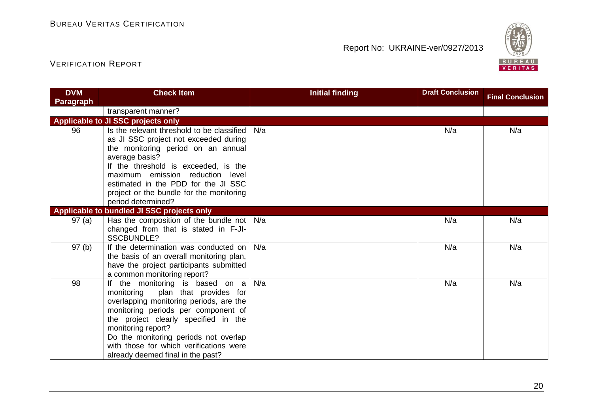

| <b>DVM</b>       | <b>Check Item</b>                                                                                                                                                                                                                                                                                                                                | <b>Initial finding</b> | <b>Draft Conclusion</b> | <b>Final Conclusion</b> |
|------------------|--------------------------------------------------------------------------------------------------------------------------------------------------------------------------------------------------------------------------------------------------------------------------------------------------------------------------------------------------|------------------------|-------------------------|-------------------------|
| <b>Paragraph</b> |                                                                                                                                                                                                                                                                                                                                                  |                        |                         |                         |
|                  | transparent manner?                                                                                                                                                                                                                                                                                                                              |                        |                         |                         |
|                  | Applicable to JI SSC projects only                                                                                                                                                                                                                                                                                                               |                        |                         |                         |
| 96               | Is the relevant threshold to be classified<br>as JI SSC project not exceeded during<br>the monitoring period on an annual<br>average basis?<br>If the threshold is exceeded, is the<br>maximum emission reduction level<br>estimated in the PDD for the JI SSC<br>project or the bundle for the monitoring<br>period determined?                 | N/a                    | N/a                     | N/a                     |
|                  | Applicable to bundled JI SSC projects only                                                                                                                                                                                                                                                                                                       |                        |                         |                         |
| 97(a)            | Has the composition of the bundle not<br>changed from that is stated in F-JI-<br><b>SSCBUNDLE?</b>                                                                                                                                                                                                                                               | N/a                    | N/a                     | N/a                     |
| 97 (b)           | If the determination was conducted on<br>the basis of an overall monitoring plan,<br>have the project participants submitted<br>a common monitoring report?                                                                                                                                                                                      | N/a                    | N/a                     | N/a                     |
| 98               | If the monitoring is based on a<br>monitoring<br>plan that provides for<br>overlapping monitoring periods, are the<br>monitoring periods per component of<br>the project clearly specified in the<br>monitoring report?<br>Do the monitoring periods not overlap<br>with those for which verifications were<br>already deemed final in the past? | N/a                    | N/a                     | N/a                     |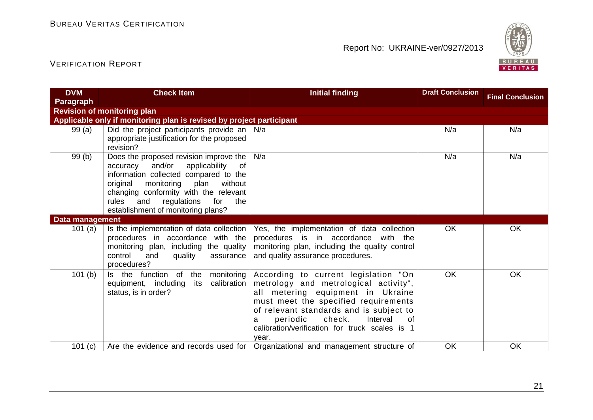

| <b>DVM</b><br><b>Paragraph</b> | <b>Check Item</b>                                                                                                                                                                                                                                                                                     | <b>Initial finding</b>                                                                                                                                                                                                                                                                                        | <b>Draft Conclusion</b> | <b>Final Conclusion</b> |
|--------------------------------|-------------------------------------------------------------------------------------------------------------------------------------------------------------------------------------------------------------------------------------------------------------------------------------------------------|---------------------------------------------------------------------------------------------------------------------------------------------------------------------------------------------------------------------------------------------------------------------------------------------------------------|-------------------------|-------------------------|
|                                | <b>Revision of monitoring plan</b>                                                                                                                                                                                                                                                                    |                                                                                                                                                                                                                                                                                                               |                         |                         |
|                                | Applicable only if monitoring plan is revised by project participant                                                                                                                                                                                                                                  |                                                                                                                                                                                                                                                                                                               |                         |                         |
| 99(a)                          | Did the project participants provide an<br>appropriate justification for the proposed<br>revision?                                                                                                                                                                                                    | N/a                                                                                                                                                                                                                                                                                                           | N/a                     | N/a                     |
| 99(b)                          | Does the proposed revision improve the<br>and/or<br>applicability<br>accuracy<br>0f<br>information collected compared to the<br>original<br>monitoring<br>plan<br>without<br>changing conformity with the relevant<br>rules<br>regulations<br>for<br>and<br>the<br>establishment of monitoring plans? | N/a                                                                                                                                                                                                                                                                                                           | N/a                     | N/a                     |
| <b>Data management</b>         |                                                                                                                                                                                                                                                                                                       |                                                                                                                                                                                                                                                                                                               |                         |                         |
| 101(a)                         | Is the implementation of data collection<br>procedures in accordance with the<br>monitoring plan, including the quality<br>control<br>and<br>quality<br>assurance<br>procedures?                                                                                                                      | Yes, the implementation of data collection<br>procedures is in accordance<br>with the<br>monitoring plan, including the quality control<br>and quality assurance procedures.                                                                                                                                  | <b>OK</b>               | OK                      |
| 101(b)                         | Is the function<br>of<br>the<br>monitoring<br>calibration<br>equipment, including<br>its<br>status, is in order?                                                                                                                                                                                      | According to current legislation "On<br>metrology and metrological activity",<br>all metering equipment in Ukraine<br>must meet the specified requirements<br>of relevant standards and is subject to<br>check.<br>Interval<br>periodic<br>of<br>a<br>calibration/verification for truck scales is 1<br>year. | OK                      | OK                      |
| 101 (c)                        | Are the evidence and records used for                                                                                                                                                                                                                                                                 | Organizational and management structure of                                                                                                                                                                                                                                                                    | OK                      | OK                      |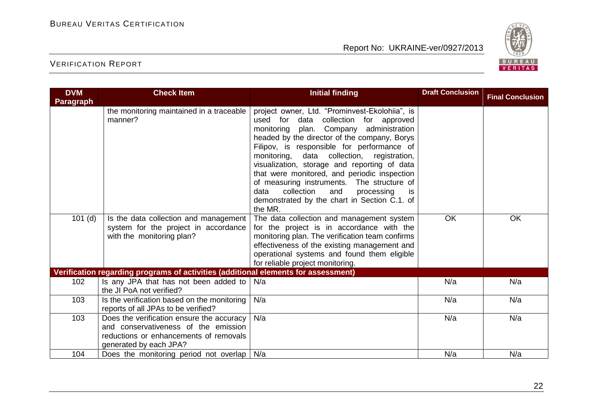

| <b>DVM</b>       | <b>Check Item</b>                                                                                                                                     | <b>Initial finding</b>                                                                                                                                                                                                                                                                                                                                                                                                                                                                                                                      | <b>Draft Conclusion</b> | <b>Final Conclusion</b> |
|------------------|-------------------------------------------------------------------------------------------------------------------------------------------------------|---------------------------------------------------------------------------------------------------------------------------------------------------------------------------------------------------------------------------------------------------------------------------------------------------------------------------------------------------------------------------------------------------------------------------------------------------------------------------------------------------------------------------------------------|-------------------------|-------------------------|
| <b>Paragraph</b> |                                                                                                                                                       |                                                                                                                                                                                                                                                                                                                                                                                                                                                                                                                                             |                         |                         |
|                  | the monitoring maintained in a traceable<br>manner?                                                                                                   | project owner, Ltd. "Prominvest-Ekolohiia", is<br>data collection for approved<br>used for<br>monitoring plan. Company administration<br>headed by the director of the company, Borys<br>Filipov, is responsible for performance of<br>monitoring, data collection, registration,<br>visualization, storage and reporting of data<br>that were monitored, and periodic inspection<br>of measuring instruments. The structure of<br>collection<br>and<br>processing<br>data<br>is<br>demonstrated by the chart in Section C.1. of<br>the MR. |                         |                         |
| $101$ (d)        | Is the data collection and management<br>system for the project in accordance<br>with the monitoring plan?                                            | The data collection and management system<br>for the project is in accordance with the<br>monitoring plan. The verification team confirms<br>effectiveness of the existing management and<br>operational systems and found them eligible<br>for reliable project monitoring.                                                                                                                                                                                                                                                                | OK                      | OK                      |
|                  | Verification regarding programs of activities (additional elements for assessment)                                                                    |                                                                                                                                                                                                                                                                                                                                                                                                                                                                                                                                             |                         |                         |
| 102              | Is any JPA that has not been added to<br>the JI PoA not verified?                                                                                     | N/a                                                                                                                                                                                                                                                                                                                                                                                                                                                                                                                                         | N/a                     | N/a                     |
| 103              | Is the verification based on the monitoring<br>reports of all JPAs to be verified?                                                                    | N/a                                                                                                                                                                                                                                                                                                                                                                                                                                                                                                                                         | N/a                     | N/a                     |
| 103              | Does the verification ensure the accuracy<br>and conservativeness of the emission<br>reductions or enhancements of removals<br>generated by each JPA? | N/a                                                                                                                                                                                                                                                                                                                                                                                                                                                                                                                                         | N/a                     | N/a                     |
| 104              | Does the monitoring period not overlap                                                                                                                | N/a                                                                                                                                                                                                                                                                                                                                                                                                                                                                                                                                         | N/a                     | N/a                     |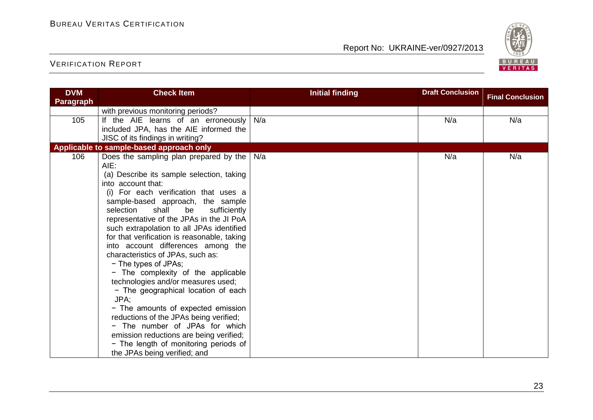

| <b>DVM</b><br><b>Check Item</b>                                                                                                                                                                                                                                                                                                                                                                                                                                                                                                                                                                                                                                                                                                                                                                                                                                | <b>Initial finding</b> | <b>Draft Conclusion</b> | <b>Final Conclusion</b> |
|----------------------------------------------------------------------------------------------------------------------------------------------------------------------------------------------------------------------------------------------------------------------------------------------------------------------------------------------------------------------------------------------------------------------------------------------------------------------------------------------------------------------------------------------------------------------------------------------------------------------------------------------------------------------------------------------------------------------------------------------------------------------------------------------------------------------------------------------------------------|------------------------|-------------------------|-------------------------|
| <b>Paragraph</b>                                                                                                                                                                                                                                                                                                                                                                                                                                                                                                                                                                                                                                                                                                                                                                                                                                               |                        |                         |                         |
| with previous monitoring periods?                                                                                                                                                                                                                                                                                                                                                                                                                                                                                                                                                                                                                                                                                                                                                                                                                              |                        |                         |                         |
| If the AIE learns of an erroneously<br>105                                                                                                                                                                                                                                                                                                                                                                                                                                                                                                                                                                                                                                                                                                                                                                                                                     | N/a                    | N/a                     | N/a                     |
| included JPA, has the AIE informed the                                                                                                                                                                                                                                                                                                                                                                                                                                                                                                                                                                                                                                                                                                                                                                                                                         |                        |                         |                         |
| JISC of its findings in writing?                                                                                                                                                                                                                                                                                                                                                                                                                                                                                                                                                                                                                                                                                                                                                                                                                               |                        |                         |                         |
| Applicable to sample-based approach only                                                                                                                                                                                                                                                                                                                                                                                                                                                                                                                                                                                                                                                                                                                                                                                                                       |                        |                         |                         |
| 106<br>Does the sampling plan prepared by the<br>AIE:<br>(a) Describe its sample selection, taking<br>into account that:<br>(i) For each verification that uses a<br>sample-based approach, the sample<br>selection<br>shall<br>be<br>sufficiently<br>representative of the JPAs in the JI PoA<br>such extrapolation to all JPAs identified<br>for that verification is reasonable, taking<br>into account differences among the<br>characteristics of JPAs, such as:<br>- The types of JPAs;<br>- The complexity of the applicable<br>technologies and/or measures used;<br>- The geographical location of each<br>JPA;<br>- The amounts of expected emission<br>reductions of the JPAs being verified;<br>- The number of JPAs for which<br>emission reductions are being verified;<br>- The length of monitoring periods of<br>the JPAs being verified; and | N/a                    | N/a                     | N/a                     |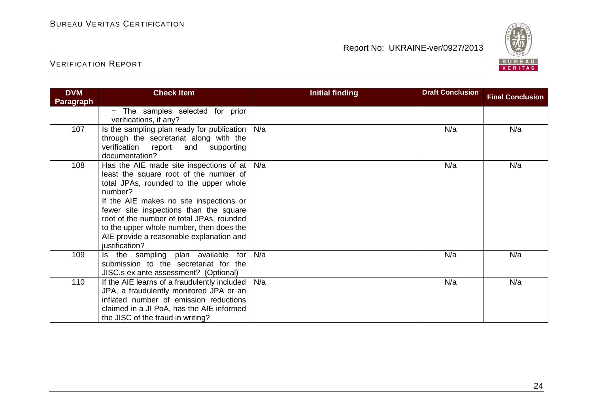

| <b>DVM</b> | <b>Check Item</b>                                                                                                                                                                                                                                                                                                                                                                              | <b>Initial finding</b> | <b>Draft Conclusion</b> | <b>Final Conclusion</b> |
|------------|------------------------------------------------------------------------------------------------------------------------------------------------------------------------------------------------------------------------------------------------------------------------------------------------------------------------------------------------------------------------------------------------|------------------------|-------------------------|-------------------------|
| Paragraph  | - The samples selected for prior<br>verifications, if any?                                                                                                                                                                                                                                                                                                                                     |                        |                         |                         |
| 107        | Is the sampling plan ready for publication<br>through the secretariat along with the<br>verification report<br>and<br>supporting<br>documentation?                                                                                                                                                                                                                                             | N/a                    | N/a                     | N/a                     |
| 108        | Has the AIE made site inspections of at $\vert$ N/a<br>least the square root of the number of<br>total JPAs, rounded to the upper whole<br>number?<br>If the AIE makes no site inspections or<br>fewer site inspections than the square<br>root of the number of total JPAs, rounded<br>to the upper whole number, then does the<br>AIE provide a reasonable explanation and<br>justification? |                        | N/a                     | N/a                     |
| 109        | Is the sampling plan available for<br>submission to the secretariat for the<br>JISC.s ex ante assessment? (Optional)                                                                                                                                                                                                                                                                           | N/a                    | N/a                     | N/a                     |
| 110        | If the AIE learns of a fraudulently included<br>JPA, a fraudulently monitored JPA or an<br>inflated number of emission reductions<br>claimed in a JI PoA, has the AIE informed<br>the JISC of the fraud in writing?                                                                                                                                                                            | N/a                    | N/a                     | N/a                     |